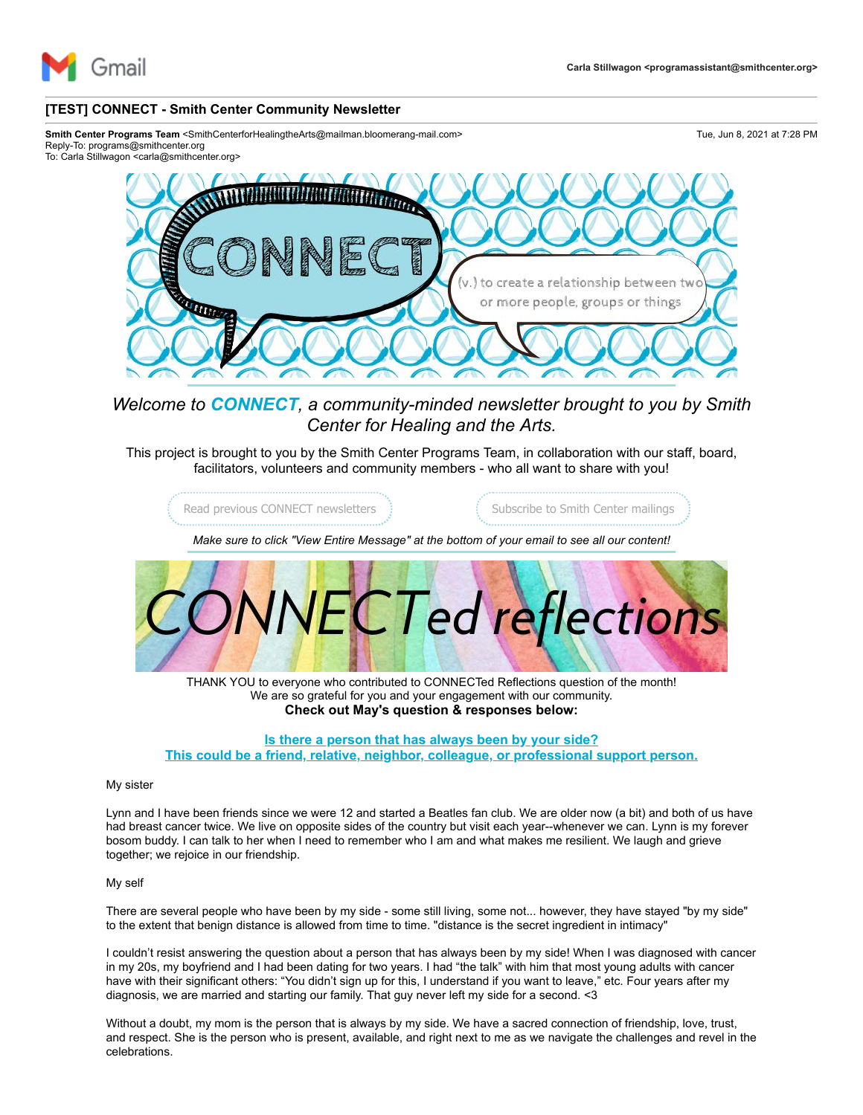

## **[TEST] CONNECT - Smith Center Community Newsletter**

Smith Center Programs Team <SmithCenterforHealingtheArts@mailman.bloomerang-mail.com> Tue, Jun 8, 2021 at 7:28 PM Reply-To: programs@smithcenter.org

To: Carla Stillwagon <carla@smithcenter.org>



*Welcome to CONNECT, a community-minded newsletter brought to you by Smith Center for Healing and the Arts.*

This project is brought to you by the Smith Center Programs Team, in collaboration with our staff, board, facilitators, volunteers and community members - who all want to share with you!



THANK YOU to everyone who contributed to CONNECTed Reflections question of the month! We are so grateful for you and your engagement with our community. **Check out May's question & responses below:**

# **Is there a person that has always been by your side? This could be a friend, relative, neighbor, colleague, or professional support person.**

#### My sister

Lynn and I have been friends since we were 12 and started a Beatles fan club. We are older now (a bit) and both of us have had breast cancer twice. We live on opposite sides of the country but visit each year--whenever we can. Lynn is my forever bosom buddy. I can talk to her when I need to remember who I am and what makes me resilient. We laugh and grieve together; we rejoice in our friendship.

### My self

There are several people who have been by my side - some still living, some not... however, they have stayed "by my side" to the extent that benign distance is allowed from time to time. "distance is the secret ingredient in intimacy"

I couldn't resist answering the question about a person that has always been by my side! When I was diagnosed with cancer in my 20s, my boyfriend and I had been dating for two years. I had "the talk" with him that most young adults with cancer have with their significant others: "You didn't sign up for this, I understand if you want to leave," etc. Four years after my diagnosis, we are married and starting our family. That guy never left my side for a second. <3

Without a doubt, my mom is the person that is always by my side. We have a sacred connection of friendship, love, trust, and respect. She is the person who is present, available, and right next to me as we navigate the challenges and revel in the celebrations.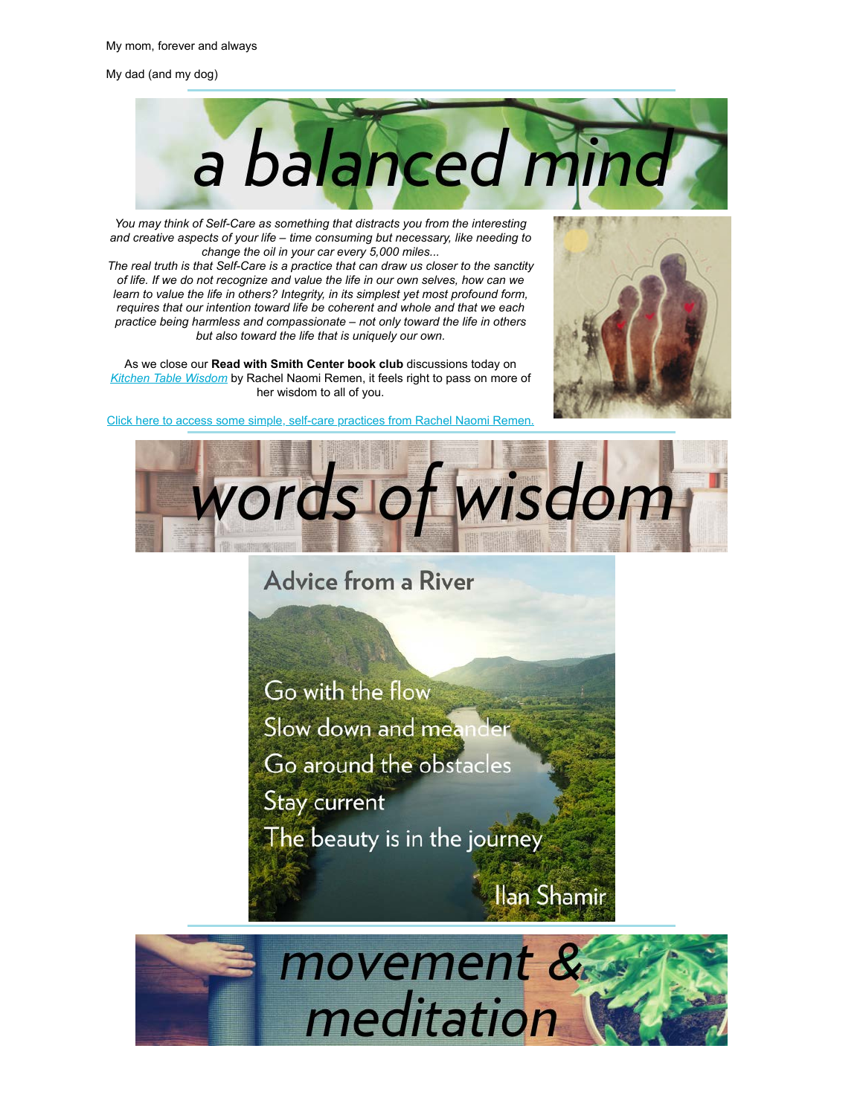My dad (and my dog)



*You may think of Self-Care as something that distracts you from the interesting and creative aspects of your life – time consuming but necessary, like needing to change the oil in your car every 5,000 miles...*

*The real truth is that Self-Care is a practice that can draw us closer to the sanctity of life. If we do not recognize and value the life in our own selves, how can we learn to value the life in others? Integrity, in its simplest yet most profound form, requires that our intention toward life be coherent and whole and that we each practice being harmless and compassionate – not only toward the life in others but also toward the life that is uniquely our own.*

As we close our **Read with Smith Center book club** discussions today on *[Kitchen Table Wisdom](https://u4479449.ct.sendgrid.net/ls/click?upn=3sgrXn5Ev5tKVcoBK0A6CoR2vYnjoE5lS-2B2i8gOVFrJ8clXrRf6TJK0nb3wKwgP0lqfrhfoIiGUGVTyL-2BuHY-2BNB8G-2Fy92csOLN9Fj1s9OuCQtHeBGjhAGcebiWItbvYDPcUJVdv0x0FCv5DrrmMDUR-2FRH1BHRHCymZFAaHE0U-2BHeXApq0oeCl0Dr4b-2BRPP0a3zwq1W40fk4y4teokUB69LDIBPp0jStlzlO7y-2F9P4CmYyzQUlfkoMFpWVFK4lfrECjhz_5WEKUCHOOKEmpAePquxKW8mz8KxSlNJE8q6LGByFHASLHkY3PAVnX0uan0usBqR4ZgOg70CAYmaHqAqs2ECz4MumhDSU6e2ReAjaDnJuqUHldRl5mHPEZeH8qDbsz4upOVhRTCNwmJdk0qm0AHNnBguz9SC8jjNY6obgMh4owxlhzSZqhDwPJdYrNCZI3dv0naBj9rRUXsdj-2Fo38faard7JXSkyl-2BbU7GThiwHWNCylYOail905Q5XFt5GL55d5SksqFh0zfPOZzMtpWJnm5Ge55ZOazNWCQS595HRrs3eFfYNRbGqpOA9L-2FjV0-2F04i1rfnoNzxrecZhBp2e6kio7XTW6DVLMw-2BGwAMGy-2BhNx-2BVSczLlTf-2BuCZD-2BDWUsTHw2aNi2-2BzdRow1xFVSkHIANeA-3D-3D)* by Rachel Naomi Remen, it feels right to pass on more of her wisdom to all of you.



[Click here to access some simple, self-care practices from Rachel Naomi Remen.](https://u4479449.ct.sendgrid.net/ls/click?upn=h01KiVVX1GutnfgMP0siTD2qyw6GVt01SC93-2BzZWG16d6-2BihNmZvJQYUnv13HpNQkTDEA0HtNNLXQAABPlqXIW-2FjhyodD5h7ivj03mDj-2BoI-3D75DG_5WEKUCHOOKEmpAePquxKW8mz8KxSlNJE8q6LGByFHASLHkY3PAVnX0uan0usBqR4ZgOg70CAYmaHqAqs2ECz4MumhDSU6e2ReAjaDnJuqUHldRl5mHPEZeH8qDbsz4upOVhRTCNwmJdk0qm0AHNnBguz9SC8jjNY6obgMh4owxlhzSZqhDwPJdYrNCZI3dv0naBj9rRUXsdj-2Fo38faard7JXSkyl-2BbU7GThiwHWNCylYOail905Q5XFt5GL55d5Sx9W-2Bm7-2BkgtvMtBuJnKJFfdPKG5AcNv1hyMh8XUM4ydqmpgj4wD01OXPhXLvyQHpFOO7Pfd-2FQCQlM9nh4UxiJTakhRzlHeDECYWNaGfRVK5G9mvFC9mmt0itAL1hn1KdVljld6EiPhtKqj-2F522TaKSw-3D-3D)



**Advice from a River** 

Go with the flow

Slow down and meander

Go around the obstacles

**Stay current** 

The beauty is in the journey  $\overline{ }$ 



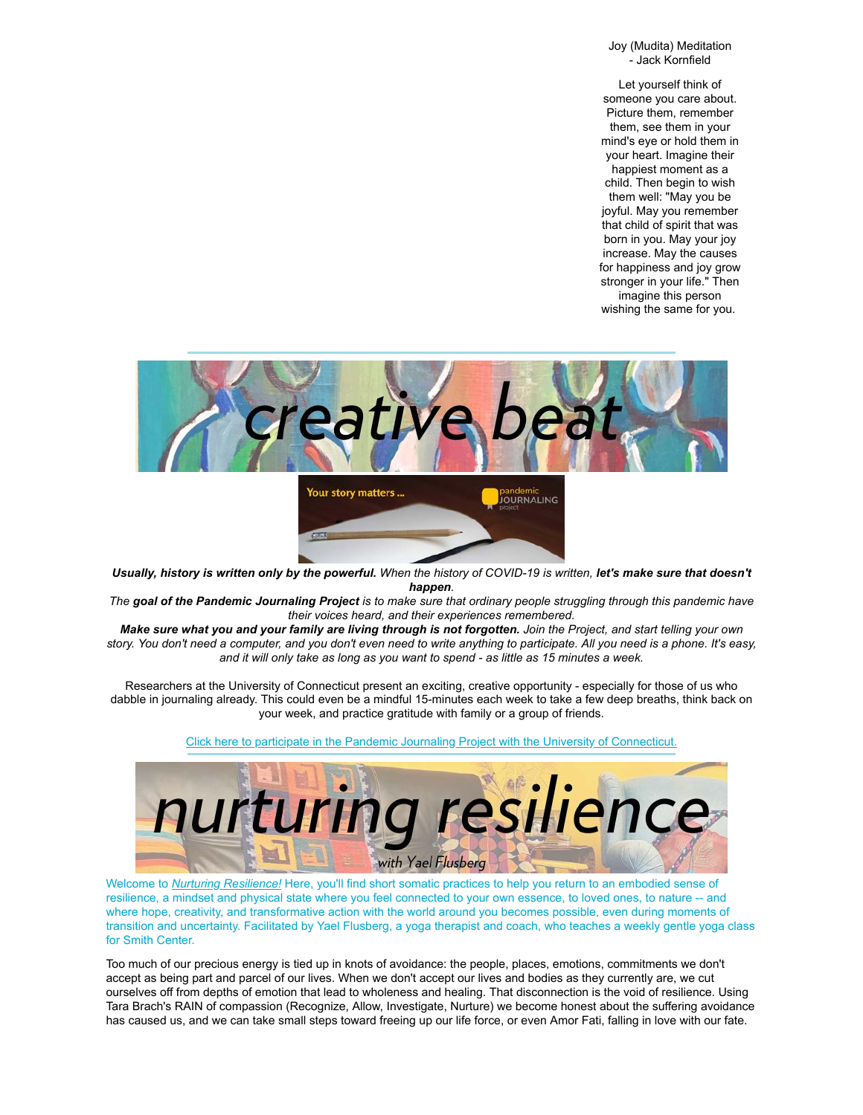Joy (Mudita) Meditation - Jack Kornfield

Let yourself think of someone you care about. Picture them, remember them, see them in your mind's eye or hold them in your heart. Imagine their happiest moment as a child. Then begin to wish them well: "May you be joyful. May you remember that child of spirit that was born in you. May your joy increase. May the causes for happiness and joy grow stronger in your life." Then imagine this person wishing the same for you.



*Usually, history is written only by the powerful. When the history of COVID-19 is written, let's make sure that doesn't happen.*

*The goal of the Pandemic Journaling Project is to make sure that ordinary people struggling through this pandemic have their voices heard, and their experiences remembered.*

*Make sure what you and your family are living through is not forgotten. Join the Project, and start telling your own story. You don't need a computer, and you don't even need to write anything to participate. All you need is a phone. It's easy, and it will only take as long as you want to spend - as little as 15 minutes a week.*

Researchers at the University of Connecticut present an exciting, creative opportunity - especially for those of us who dabble in journaling already. This could even be a mindful 15-minutes each week to take a few deep breaths, think back on your week, and practice gratitude with family or a group of friends.



[Click here to participate in the Pandemic Journaling Project with the University of Connecticut.](https://u4479449.ct.sendgrid.net/ls/click?upn=3sgrXn5Ev5tKVcoBK0A6CnGR0UONbLcmbOBHrPhe1uwgI1Uz-2FXtYIYmqg3jnMt0DTWf2-2B7z9Edk8ex1G4gdPzlsr9x1jCE-2BdhtFbfbyc-2Bdg-3DMEle_5WEKUCHOOKEmpAePquxKW8mz8KxSlNJE8q6LGByFHASLHkY3PAVnX0uan0usBqR4ZgOg70CAYmaHqAqs2ECz4MumhDSU6e2ReAjaDnJuqUHldRl5mHPEZeH8qDbsz4upOVhRTCNwmJdk0qm0AHNnBguz9SC8jjNY6obgMh4owxlhzSZqhDwPJdYrNCZI3dv0naBj9rRUXsdj-2Fo38faard7JXSkyl-2BbU7GThiwHWNCylYOail905Q5XFt5GL55d5Sxqh8Lp17ebvzYyKh5eUM2GEP3k5u-2F05tehdLMqWle8KapOkmRPXSk-2F5lMOe5gxR9f0lje60TGEhDwBgBNs0SL9RjPCpn9td6HfLaTjJrJfHKHb0MAtYJlYe2-2BXv-2BiF9kNTDS5sddQGpcJGRQ5t2jkQ-3D-3D)

Welcome to *[Nurturing Resilience!](https://u4479449.ct.sendgrid.net/ls/click?upn=3sgrXn5Ev5tKVcoBK0A6Cpe-2BSlO1vPLgoqB6W1XeqY06zOXUsp420f-2BgYcp9T1mgCA5wH0h7r9vxRHIa3T7CKev7lTXlvPbykXAv8FP20pz0Wp-2FuxI2nf0CRf3HTSVlKFt8gaBcQPLJvZg7pHg1vsg-3D-3DiPCU_5WEKUCHOOKEmpAePquxKW8mz8KxSlNJE8q6LGByFHASLHkY3PAVnX0uan0usBqR4ZgOg70CAYmaHqAqs2ECz4MumhDSU6e2ReAjaDnJuqUHldRl5mHPEZeH8qDbsz4upOVhRTCNwmJdk0qm0AHNnBguz9SC8jjNY6obgMh4owxlhzSZqhDwPJdYrNCZI3dv0naBj9rRUXsdj-2Fo38faard7JXSkyl-2BbU7GThiwHWNCylYOail905Q5XFt5GL55d5Sk9fHX9ki6WVGDfA5gSf7MXRgikO9wmA5UzET74AtvbjO9L16Iskr0MjWHfLWliOlPaGJAPrAg0W588mwiAcj9S5IPMgQnrr1mv1gVwIE1FUREueznRn9JO1VvhyYi2MUfWTGAU6A02dpuJz1MRBqAQ-3D-3D)* Here, you'll find short somatic practices to help you return to an embodied sense of resilience, a mindset and physical state where you feel connected to your own essence, to loved ones, to nature -- and where hope, creativity, and transformative action with the world around you becomes possible, even during moments of transition and uncertainty. Facilitated by Yael Flusberg, a yoga therapist and coach, who teaches a weekly gentle yoga class for Smith Center.

Too much of our precious energy is tied up in knots of avoidance: the people, places, emotions, commitments we don't accept as being part and parcel of our lives. When we don't accept our lives and bodies as they currently are, we cut ourselves off from depths of emotion that lead to wholeness and healing. That disconnection is the void of resilience. Using Tara Brach's RAIN of compassion (Recognize, Allow, Investigate, Nurture) we become honest about the suffering avoidance has caused us, and we can take small steps toward freeing up our life force, or even Amor Fati, falling in love with our fate.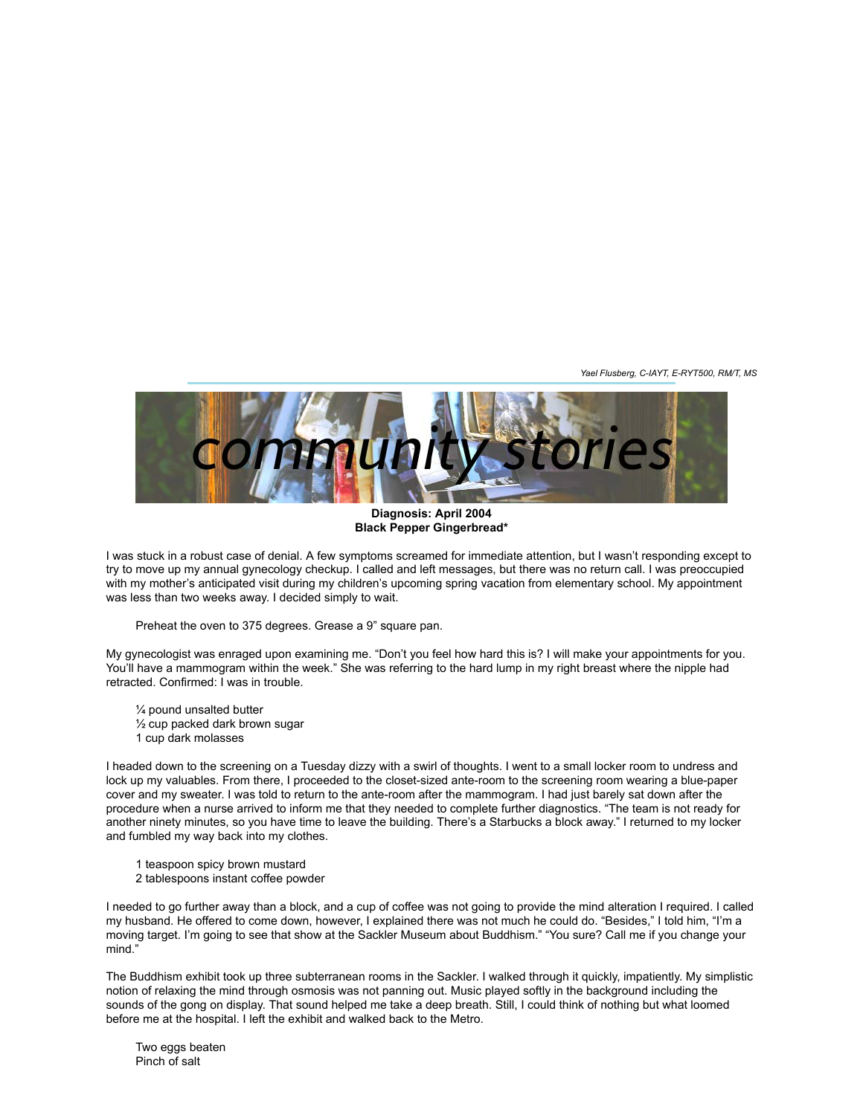*Yael Flusberg, C-IAYT, E-RYT500, RM/T, MS*



**Diagnosis: April 2004 Black Pepper Gingerbread\***

I was stuck in a robust case of denial. A few symptoms screamed for immediate attention, but I wasn't responding except to try to move up my annual gynecology checkup. I called and left messages, but there was no return call. I was preoccupied with my mother's anticipated visit during my children's upcoming spring vacation from elementary school. My appointment was less than two weeks away. I decided simply to wait.

Preheat the oven to 375 degrees. Grease a 9" square pan.

My gynecologist was enraged upon examining me. "Don't you feel how hard this is? I will make your appointments for you. You'll have a mammogram within the week." She was referring to the hard lump in my right breast where the nipple had retracted. Confirmed: I was in trouble.

¼ pound unsalted butter ½ cup packed dark brown sugar 1 cup dark molasses

I headed down to the screening on a Tuesday dizzy with a swirl of thoughts. I went to a small locker room to undress and lock up my valuables. From there, I proceeded to the closet-sized ante-room to the screening room wearing a blue-paper cover and my sweater. I was told to return to the ante-room after the mammogram. I had just barely sat down after the procedure when a nurse arrived to inform me that they needed to complete further diagnostics. "The team is not ready for another ninety minutes, so you have time to leave the building. There's a Starbucks a block away." I returned to my locker and fumbled my way back into my clothes.

- 1 teaspoon spicy brown mustard
- 2 tablespoons instant coffee powder

I needed to go further away than a block, and a cup of coffee was not going to provide the mind alteration I required. I called my husband. He offered to come down, however, I explained there was not much he could do. "Besides," I told him, "I'm a moving target. I'm going to see that show at the Sackler Museum about Buddhism." "You sure? Call me if you change your mind."

The Buddhism exhibit took up three subterranean rooms in the Sackler. I walked through it quickly, impatiently. My simplistic notion of relaxing the mind through osmosis was not panning out. Music played softly in the background including the sounds of the gong on display. That sound helped me take a deep breath. Still, I could think of nothing but what loomed before me at the hospital. I left the exhibit and walked back to the Metro.

Two eggs beaten Pinch of salt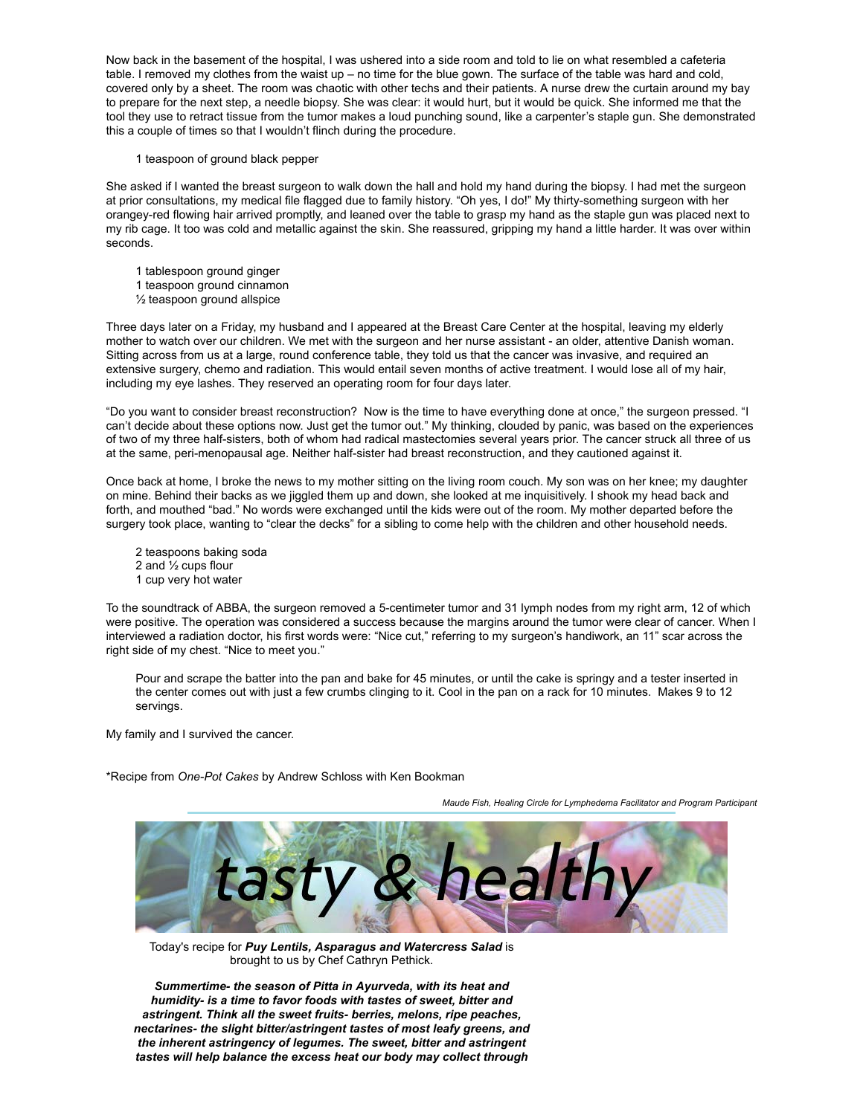Now back in the basement of the hospital, I was ushered into a side room and told to lie on what resembled a cafeteria table. I removed my clothes from the waist up – no time for the blue gown. The surface of the table was hard and cold, covered only by a sheet. The room was chaotic with other techs and their patients. A nurse drew the curtain around my bay to prepare for the next step, a needle biopsy. She was clear: it would hurt, but it would be quick. She informed me that the tool they use to retract tissue from the tumor makes a loud punching sound, like a carpenter's staple gun. She demonstrated this a couple of times so that I wouldn't flinch during the procedure.

1 teaspoon of ground black pepper

She asked if I wanted the breast surgeon to walk down the hall and hold my hand during the biopsy. I had met the surgeon at prior consultations, my medical file flagged due to family history. "Oh yes, I do!" My thirty-something surgeon with her orangey-red flowing hair arrived promptly, and leaned over the table to grasp my hand as the staple gun was placed next to my rib cage. It too was cold and metallic against the skin. She reassured, gripping my hand a little harder. It was over within seconds.

- 1 tablespoon ground ginger
- 1 teaspoon ground cinnamon
- ½ teaspoon ground allspice

Three days later on a Friday, my husband and I appeared at the Breast Care Center at the hospital, leaving my elderly mother to watch over our children. We met with the surgeon and her nurse assistant - an older, attentive Danish woman. Sitting across from us at a large, round conference table, they told us that the cancer was invasive, and required an extensive surgery, chemo and radiation. This would entail seven months of active treatment. I would lose all of my hair, including my eye lashes. They reserved an operating room for four days later.

"Do you want to consider breast reconstruction? Now is the time to have everything done at once," the surgeon pressed. "I can't decide about these options now. Just get the tumor out." My thinking, clouded by panic, was based on the experiences of two of my three half-sisters, both of whom had radical mastectomies several years prior. The cancer struck all three of us at the same, peri-menopausal age. Neither half-sister had breast reconstruction, and they cautioned against it.

Once back at home, I broke the news to my mother sitting on the living room couch. My son was on her knee; my daughter on mine. Behind their backs as we jiggled them up and down, she looked at me inquisitively. I shook my head back and forth, and mouthed "bad." No words were exchanged until the kids were out of the room. My mother departed before the surgery took place, wanting to "clear the decks" for a sibling to come help with the children and other household needs.

2 teaspoons baking soda 2 and ½ cups flour 1 cup very hot water

To the soundtrack of ABBA, the surgeon removed a 5-centimeter tumor and 31 lymph nodes from my right arm, 12 of which were positive. The operation was considered a success because the margins around the tumor were clear of cancer. When I interviewed a radiation doctor, his first words were: "Nice cut," referring to my surgeon's handiwork, an 11" scar across the right side of my chest. "Nice to meet you."

Pour and scrape the batter into the pan and bake for 45 minutes, or until the cake is springy and a tester inserted in the center comes out with just a few crumbs clinging to it. Cool in the pan on a rack for 10 minutes. Makes 9 to 12 servings.

My family and I survived the cancer.

\*Recipe from *One-Pot Cakes* by Andrew Schloss with Ken Bookman

*Maude Fish, Healing Circle for Lymphedema Facilitator and Program Participant*



Today's recipe for *Puy Lentils, Asparagus and Watercress Salad* is brought to us by Chef Cathryn Pethick.

*Summertime- the season of Pitta in Ayurveda, with its heat and humidity- is a time to favor foods with tastes of sweet, bitter and astringent. Think all the sweet fruits- berries, melons, ripe peaches, nectarines- the slight bitter/astringent tastes of most leafy greens, and the inherent astringency of legumes. The sweet, bitter and astringent tastes will help balance the excess heat our body may collect through*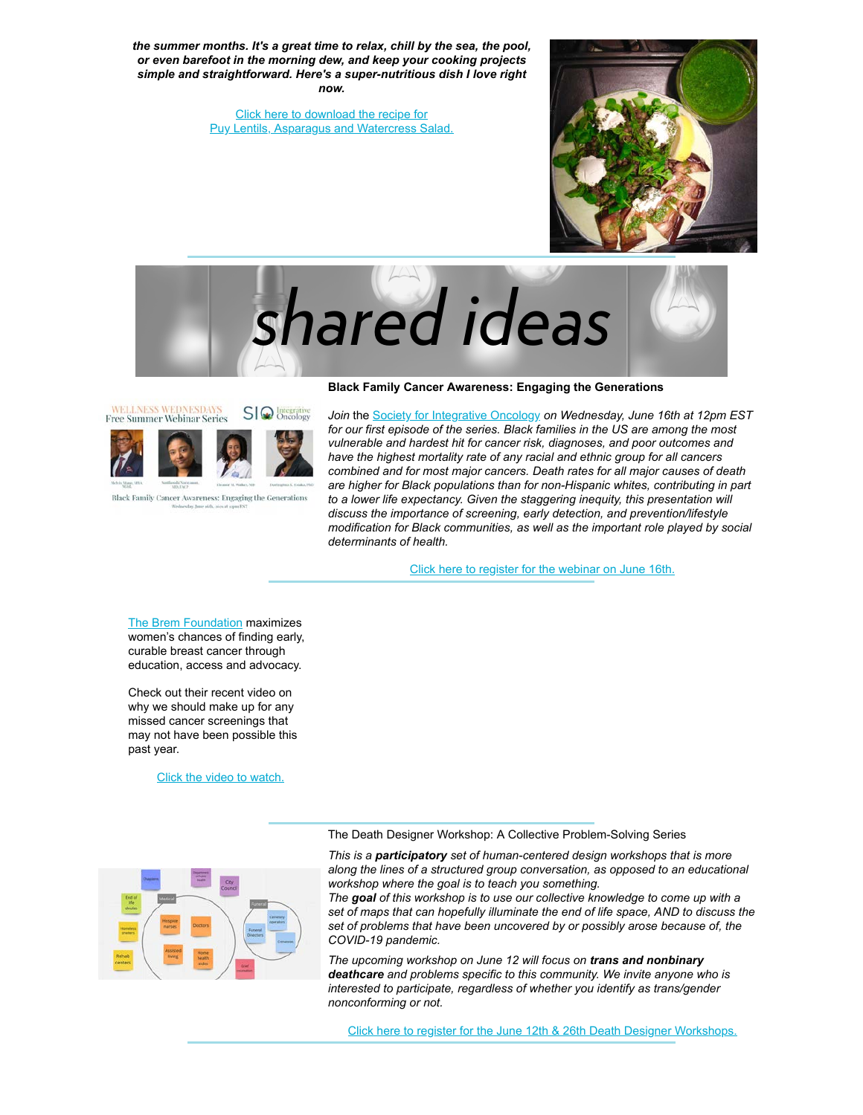*the summer months. It's a great time to relax, chill by the sea, the pool, or even barefoot in the morning dew, and keep your cooking projects simple and straightforward. Here's a super-nutritious dish I love right now.*

> [Click here to download the recipe for](https://u4479449.ct.sendgrid.net/ls/click?upn=3sgrXn5Ev5tKVcoBK0A6CgAHr74k0xcNCOw-2B-2F3C0qbclpov4UALDxxb0fS7hpvv2fWYtA0DBLLQ9xl-2BNyQwVgPoacRFVhuQJsnyKl1HJoXoN0wBjvs38un21eTniwCK5L2GRr7M-2FCHpJOiAHnD0fPvq1FgkXuPWtvRc9bX9-2B-2BweXxK8AMtWLOHc0KS75ow-2B5uHXt_5WEKUCHOOKEmpAePquxKW8mz8KxSlNJE8q6LGByFHASLHkY3PAVnX0uan0usBqR4ZgOg70CAYmaHqAqs2ECz4MumhDSU6e2ReAjaDnJuqUHldRl5mHPEZeH8qDbsz4upOVhRTCNwmJdk0qm0AHNnBguz9SC8jjNY6obgMh4owxlhzSZqhDwPJdYrNCZI3dv0naBj9rRUXsdj-2Fo38faard7JXSkyl-2BbU7GThiwHWNCylYOail905Q5XFt5GL55d5SzsZoJ6PoH2xTzAKEjs-2F8vug6QNUMg-2FVO242m0We1FKWOQMx-2F1Odl7BAr7iNwbE5bOygzPkydDmCA4c9jC7eYG3fgkNZFe3Z1U17xSqQ8KCJQtfDhaxbjGgCkUfXsPAOOFswz1RAZGxJLZEKVZ67VCg-3D-3D) [Puy Lentils, Asparagus and Watercress Salad.](https://u4479449.ct.sendgrid.net/ls/click?upn=3sgrXn5Ev5tKVcoBK0A6CgAHr74k0xcNCOw-2B-2F3C0qbclpov4UALDxxb0fS7hpvv2fWYtA0DBLLQ9xl-2BNyQwVgPoacRFVhuQJsnyKl1HJoXoN0wBjvs38un21eTniwCK5L2GRr7M-2FCHpJOiAHnD0fPvq1FgkXuPWtvRc9bX9-2B-2BweXxK8AMtWLOHc0KS75ow-2B5PcjR_5WEKUCHOOKEmpAePquxKW8mz8KxSlNJE8q6LGByFHASLHkY3PAVnX0uan0usBqR4ZgOg70CAYmaHqAqs2ECz4MumhDSU6e2ReAjaDnJuqUHldRl5mHPEZeH8qDbsz4upOVhRTCNwmJdk0qm0AHNnBguz9SC8jjNY6obgMh4owxlhzSZqhDwPJdYrNCZI3dv0naBj9rRUXsdj-2Fo38faard7JXSkyl-2BbU7GThiwHWNCylYOail905Q5XFt5GL55d5SUvl1Fy54x1ZmdLFopsjGeghD1LiBsPXY6r5IUb0DtHOmmGUyZBbP9JwSxxBaewbLGkfIHScxOSW7tq5WSfZ51WFZ5BR7nbg-2FcP6MS6vgHeJBa-2BVqY3LEp5HeyhEv-2BwN60dhFmUt699CrMe4Sto-2FZlg-3D-3D)



shared ideas

### **Black Family Cancer Awareness: Engaging the Generations**



Black Family Cancer Awareness: Engaging the Generations

*Join* the [Society for Integrative Oncology](https://u4479449.ct.sendgrid.net/ls/click?upn=3sgrXn5Ev5tKVcoBK0A6Cq2-2BaVU2fRwwbK3p2IiZdztaRq2eRRHdg-2FtixZ-2FjJQ9OkRn0mJDYIyrFK5FVgOlHAA-3D-3Dt807_5WEKUCHOOKEmpAePquxKW8mz8KxSlNJE8q6LGByFHASLHkY3PAVnX0uan0usBqR4ZgOg70CAYmaHqAqs2ECz4MumhDSU6e2ReAjaDnJuqUHldRl5mHPEZeH8qDbsz4upOVhRTCNwmJdk0qm0AHNnBguz9SC8jjNY6obgMh4owxlhzSZqhDwPJdYrNCZI3dv0naBj9rRUXsdj-2Fo38faard7JXSkyl-2BbU7GThiwHWNCylYOail905Q5XFt5GL55d5SRbRyGQWTtE1q4ohP-2FvxORzjy23Z34wjYAC-2FyZXN-2BFetd2N6mRxRHjB8HVtysgW2Mnt-2BbjD0BZT-2FOErlWI2cAWD3cuOn99np8puB0CZ7bW3Gb5OGjSSSUvWyoHKTWUX7S-2FfmcrjKdvTTS7uRiEv4Jcg-3D-3D) *on Wednesday, June 16th at 12pm EST for our first episode of the series. Black families in the US are among the most vulnerable and hardest hit for cancer risk, diagnoses, and poor outcomes and have the highest mortality rate of any racial and ethnic group for all cancers combined and for most major cancers. Death rates for all major causes of death are higher for Black populations than for non-Hispanic whites, contributing in part* to a lower life expectancy. Given the staggering inequity, this presentation will *discuss the importance of screening, early detection, and prevention/lifestyle modification for Black communities, as well as the important role played by social determinants of health.*

[Click here to register for the webinar on June 16th.](https://u4479449.ct.sendgrid.net/ls/click?upn=3sgrXn5Ev5tKVcoBK0A6CqyO8eSAHQVChcS0m7QTBvh-2BXTpRFiyRTBwNM359RxLOnkSn7Es38-2BtP6vzjT-2B40vwQ9wTI1Pqi12fOnuvk3-2FGNbC-2FeNTGAn8JF9KRz78xO0GARPdkQCxYzfqC60SmuA8Q-3D-3Dxwc6_5WEKUCHOOKEmpAePquxKW8mz8KxSlNJE8q6LGByFHASLHkY3PAVnX0uan0usBqR4ZgOg70CAYmaHqAqs2ECz4MumhDSU6e2ReAjaDnJuqUHldRl5mHPEZeH8qDbsz4upOVhRTCNwmJdk0qm0AHNnBguz9SC8jjNY6obgMh4owxlhzSZqhDwPJdYrNCZI3dv0naBj9rRUXsdj-2Fo38faard7JXSkyl-2BbU7GThiwHWNCylYOail905Q5XFt5GL55d5SquWo0aMLn1kNtUIAxdwDBJKTHWBVDF2wVMqDUodo8PXx6Klawd-2Fc7Bg2OPTm8QdgSZZ5B6zP41hxQ-2FbLFoVix72M8Y4trVqG2ClUbijYbsHPd3fnyNvNBjushn0KongeJN81igIVAMd0C2V6PqP1ww-3D-3D)

[The Brem Foundation](https://u4479449.ct.sendgrid.net/ls/click?upn=3sgrXn5Ev5tKVcoBK0A6CqKBpA6JRi6-2Bk8tPbEy47-2FY69VAZLgfQja98JSt-2Fw8noS0JWH-2FPVQHfCETzfUkfwig-3D-3DIPLw_5WEKUCHOOKEmpAePquxKW8mz8KxSlNJE8q6LGByFHASLHkY3PAVnX0uan0usBqR4ZgOg70CAYmaHqAqs2ECz4MumhDSU6e2ReAjaDnJuqUHldRl5mHPEZeH8qDbsz4upOVhRTCNwmJdk0qm0AHNnBguz9SC8jjNY6obgMh4owxlhzSZqhDwPJdYrNCZI3dv0naBj9rRUXsdj-2Fo38faard7JXSkyl-2BbU7GThiwHWNCylYOail905Q5XFt5GL55d5SxXfxP8Tf3gvNzEw9-2BYVGJm4tx4Bh-2BWbXMzcVTYrLcOB13xvsHtL309BPi4TdpMYuRpRu9qtG3XtJ-2FYzNJi3AaWdMCiyX8pG4kCbyXjEVkw7ra-2BP8ko-2FavRWhmxxFxaD7T4Ja3poC-2BpJkW1sdz5IQRg-3D-3D) maximizes women's chances of finding early, curable breast cancer through education, access and advocacy.

Check out their recent video on why we should make up for any missed cancer screenings that may not have been possible this past year.

[Click the video to watch.](https://u4479449.ct.sendgrid.net/ls/click?upn=3sgrXn5Ev5tKVcoBK0A6Cpe-2BSlO1vPLgoqB6W1XeqY1rEMMij0fzgEwdR8II25ICAao3zqEUZwBiNxU3AdPbb6EjLRHQQbty6XXhf8hV5xY-3DN3UT_5WEKUCHOOKEmpAePquxKW8mz8KxSlNJE8q6LGByFHASLHkY3PAVnX0uan0usBqR4ZgOg70CAYmaHqAqs2ECz4MumhDSU6e2ReAjaDnJuqUHldRl5mHPEZeH8qDbsz4upOVhRTCNwmJdk0qm0AHNnBguz9SC8jjNY6obgMh4owxlhzSZqhDwPJdYrNCZI3dv0naBj9rRUXsdj-2Fo38faard7JXSkyl-2BbU7GThiwHWNCylYOail905Q5XFt5GL55d5SUY1-2B1-2FPcQRvnMdamVGKvqW6LUjclgRTjYSRX6P6jCAbZ7AMWHccJuMm5DEVcXeGKzuOynciAxGY1vzrmuPpDkPV7H48MYg4yEenlArxrFRj5QbQe-2F3eXTX0HLFxvdjLOwprii-2F3JztjIzD-2BPr07j-2FA-3D-3D)



The Death Designer Workshop: A Collective Problem-Solving Series

*This is a participatory set of human-centered design workshops that is more along the lines of a structured group conversation, as opposed to an educational workshop where the goal is to teach you something.*

*The goal of this workshop is to use our collective knowledge to come up with a set of maps that can hopefully illuminate the end of life space, AND to discuss the set of problems that have been uncovered by or possibly arose because of, the COVID-19 pandemic.*

*The upcoming workshop on June 12 will focus on trans and nonbinary deathcare and problems specific to this community. We invite anyone who is interested to participate, regardless of whether you identify as trans/gender nonconforming or not.*

[Click here to register for the June 12th & 26th Death Designer Workshops.](https://u4479449.ct.sendgrid.net/ls/click?upn=3sgrXn5Ev5tKVcoBK0A6Cv6QDCqTN42qbswMezv-2FLUKOz3y5Y-2Fef1yQU156C07uu3ljDttXapLBJbT7I3x-2FyIcuHF5ABUdNOl0T0V0XR-2FbwnR7Xyji4aqaIWHxyj-2BvmdfiltPaSfRStYENNlOZ8T4PgA0ze6LrZ8Po42IIXjAJZ6wxq-2B-2BswXZGtBe-2Fs6l6-2FO1ERWCPoNUWopC-2FlPjFjSSUn0ltxgGlENyBvxdpqBgUU1IaWW2Kzy1W6xtzM6ViwR8vvv0RktItCGhOB8EzVuXQ-3D-3D8ltr_5WEKUCHOOKEmpAePquxKW8mz8KxSlNJE8q6LGByFHASLHkY3PAVnX0uan0usBqR4ZgOg70CAYmaHqAqs2ECz4MumhDSU6e2ReAjaDnJuqUHldRl5mHPEZeH8qDbsz4upOVhRTCNwmJdk0qm0AHNnBguz9SC8jjNY6obgMh4owxlhzSZqhDwPJdYrNCZI3dv0naBj9rRUXsdj-2Fo38faard7JXSkyl-2BbU7GThiwHWNCylYOail905Q5XFt5GL55d5SmXyrok5ONaflT8ru3CZqJdDyWIJDiyEekO2jP6xYGDTPQgjcZpRXceScBNNvunQEkkzxWvs9GkhFHyHFuDnZJfpcZl2lzDT-2BtOq5XDVZnCcf7oWAYuozPxgbN3Glvve5Tu6Z91A4R2ZU1nTrzktMCg-3D-3D)